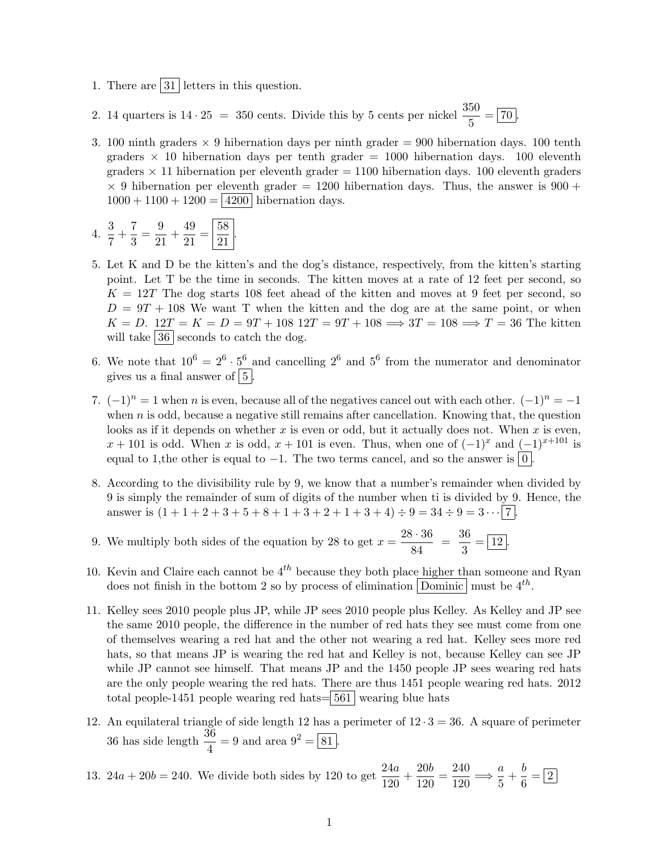- 1. There are  $|31|$  letters in this question.
- 2. 14 quarters is  $14 \cdot 25 = 350$  cents. Divide this by 5 cents per nickel  $\frac{350}{5} = \boxed{70}$ .
- 3. 100 ninth graders  $\times$  9 hibernation days per ninth grader = 900 hibernation days. 100 tenth graders  $\times$  10 hibernation days per tenth grader = 1000 hibernation days. 100 eleventh graders  $\times$  11 hibernation per eleventh grader = 1100 hibernation days. 100 eleventh graders  $\times$  9 hibernation per eleventh grader = 1200 hibernation days. Thus, the answer is 900 +  $1000 + 1100 + 1200 = 4200$  hibernation days.
- 4.  $\frac{3}{7} + \frac{7}{3}$  $\frac{7}{3} = \frac{9}{21}$  $\frac{9}{21} + \frac{49}{21}$  $rac{49}{21} = \frac{58}{21}$  $\frac{50}{21}$ .
- 5. Let K and D be the kitten's and the dog's distance, respectively, from the kitten's starting point. Let T be the time in seconds. The kitten moves at a rate of 12 feet per second, so  $K = 12T$  The dog starts 108 feet ahead of the kitten and moves at 9 feet per second, so  $D = 9T + 108$  We want T when the kitten and the dog are at the same point, or when  $K = D$ .  $12T = K = D = 9T + 108$   $12T = 9T + 108 \implies 3T = 108 \implies T = 36$  The kitten will take  $\boxed{36}$  seconds to catch the dog.
- 6. We note that  $10^6 = 2^6 \cdot 5^6$  and cancelling  $2^6$  and  $5^6$  from the numerator and denominator gives us a final answer of  $\boxed{5}$ .
- 7.  $(-1)^n = 1$  when n is even, because all of the negatives cancel out with each other.  $(-1)^n = -1$ when  $n$  is odd, because a negative still remains after cancellation. Knowing that, the question looks as if it depends on whether x is even or odd, but it actually does not. When x is even,  $x + 101$  is odd. When x is odd,  $x + 101$  is even. Thus, when one of  $(-1)^x$  and  $(-1)^{x+101}$  is equal to 1, the other is equal to  $-1$ . The two terms cancel, and so the answer is  $|0|$ .
- 8. According to the divisibility rule by 9, we know that a number's remainder when divided by 9 is simply the remainder of sum of digits of the number when ti is divided by 9. Hence, the answer is  $(1+1+2+3+5+8+1+3+2+1+3+4) \div 9 = 34 \div 9 = 3 \cdots \boxed{7}$ .
- 9. We multiply both sides of the equation by 28 to get  $x = \frac{28 \cdot 36}{04}$  $rac{3 \cdot 36}{84} = \frac{36}{3}$  $\frac{3}{3} = \boxed{12}.$
- 10. Kevin and Claire each cannot be  $4^{th}$  because they both place higher than someone and Ryan does not finish in the bottom 2 so by process of elimination  $\boxed{\text{Dominic}}$  must be  $4^{th}$ .
- 11. Kelley sees 2010 people plus JP, while JP sees 2010 people plus Kelley. As Kelley and JP see the same 2010 people, the difference in the number of red hats they see must come from one of themselves wearing a red hat and the other not wearing a red hat. Kelley sees more red hats, so that means JP is wearing the red hat and Kelley is not, because Kelley can see JP while JP cannot see himself. That means JP and the 1450 people JP sees wearing red hats are the only people wearing the red hats. There are thus 1451 people wearing red hats. 2012 total people-1451 people wearing red hats= $561$  wearing blue hats
- 12. An equilateral triangle of side length 12 has a perimeter of  $12 \cdot 3 = 36$ . A square of perimeter 36 has side length  $\frac{36}{4} = 9$  and area  $9^2 = 81$ .

13. 
$$
24a + 20b = 240
$$
. We divide both sides by 120 to get  $\frac{24a}{120} + \frac{20b}{120} = \frac{240}{120} \Longrightarrow \frac{a}{5} + \frac{b}{6} = \boxed{2}$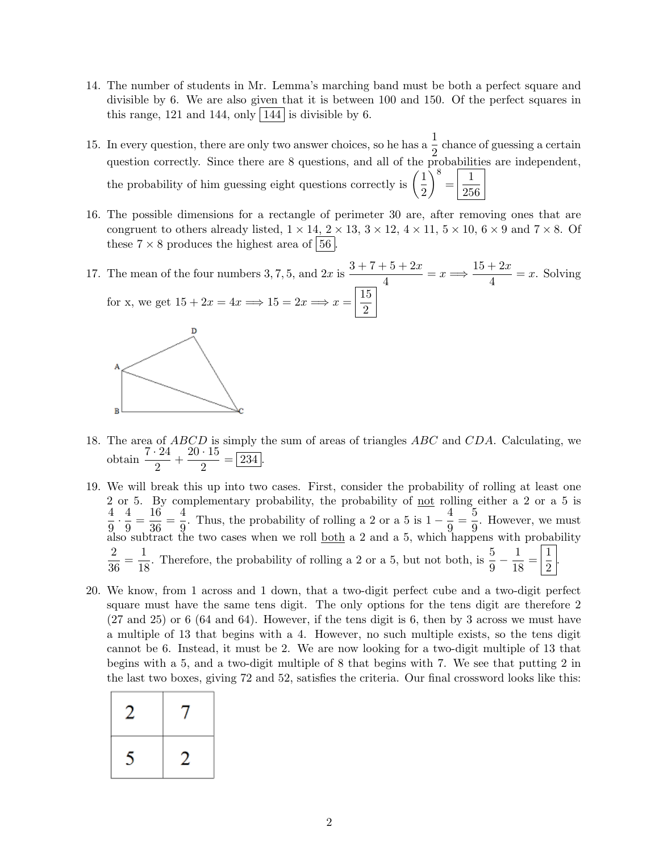- 14. The number of students in Mr. Lemma's marching band must be both a perfect square and divisible by 6. We are also given that it is between 100 and 150. Of the perfect squares in this range, 121 and 144, only  $|144|$  is divisible by 6.
- 15. In every question, there are only two answer choices, so he has a  $\frac{1}{2}$  chance of guessing a certain question correctly. Since there are 8 questions, and all of the probabilities are independent, the probability of him guessing eight questions correctly is  $\left(\frac{1}{2}\right)$ 2  $\Big)^8 = \boxed{\frac{1}{25}}$ 256
- 16. The possible dimensions for a rectangle of perimeter 30 are, after removing ones that are congruent to others already listed,  $1 \times 14$ ,  $2 \times 13$ ,  $3 \times 12$ ,  $4 \times 11$ ,  $5 \times 10$ ,  $6 \times 9$  and  $7 \times 8$ . Of these  $7 \times 8$  produces the highest area of  $\vert 56 \vert$ .
- 17. The mean of the four numbers 3, 7, 5, and  $2x$  is  $\frac{3+7+5+2x}{4}$  $\frac{-5+2x}{4} = x \Longrightarrow \frac{15+2x}{4}$  $\frac{1}{4}$  = x. Solving for x, we get  $15 + 2x = 4x \Longrightarrow 15 = 2x \Longrightarrow x = \frac{15}{3}$ 2



- 18. The area of ABCD is simply the sum of areas of triangles ABC and CDA. Calculating, we obtain  $\frac{7 \cdot 24}{2} + \frac{20 \cdot 15}{2}$  $\frac{18}{2} = 234.$
- 19. We will break this up into two cases. First, consider the probability of rolling at least one 2 or 5. By complementary probability, the probability of <u>not</u> rolling either a 2 or a 5 is 4  $\frac{4}{9} \cdot \frac{4}{9}$  $\frac{4}{9} = \frac{16}{36}$  $\frac{16}{36} = \frac{4}{9}$  $\frac{4}{9}$ . Thus, the probability of rolling a 2 or a 5 is  $1 - \frac{4}{9}$  $\frac{4}{9} = \frac{5}{9}$  $\frac{9}{9}$ . However, we must also subtract the two cases when we roll <u>both</u> a 2 and a 5, which happens with probability 2  $\frac{2}{36} = \frac{1}{18}$  $\frac{1}{18}$ . Therefore, the probability of rolling a 2 or a 5, but not both, is  $\frac{5}{9} - \frac{1}{18}$  $\frac{1}{18} = \left| \frac{1}{2} \right|$ 2 .
- 20. We know, from 1 across and 1 down, that a two-digit perfect cube and a two-digit perfect square must have the same tens digit. The only options for the tens digit are therefore 2 (27 and 25) or 6 (64 and 64). However, if the tens digit is 6, then by 3 across we must have a multiple of 13 that begins with a 4. However, no such multiple exists, so the tens digit cannot be 6. Instead, it must be 2. We are now looking for a two-digit multiple of 13 that begins with a 5, and a two-digit multiple of 8 that begins with 7. We see that putting 2 in the last two boxes, giving 72 and 52, satisfies the criteria. Our final crossword looks like this:

| 2 | ı |
|---|---|
| 5 | 2 |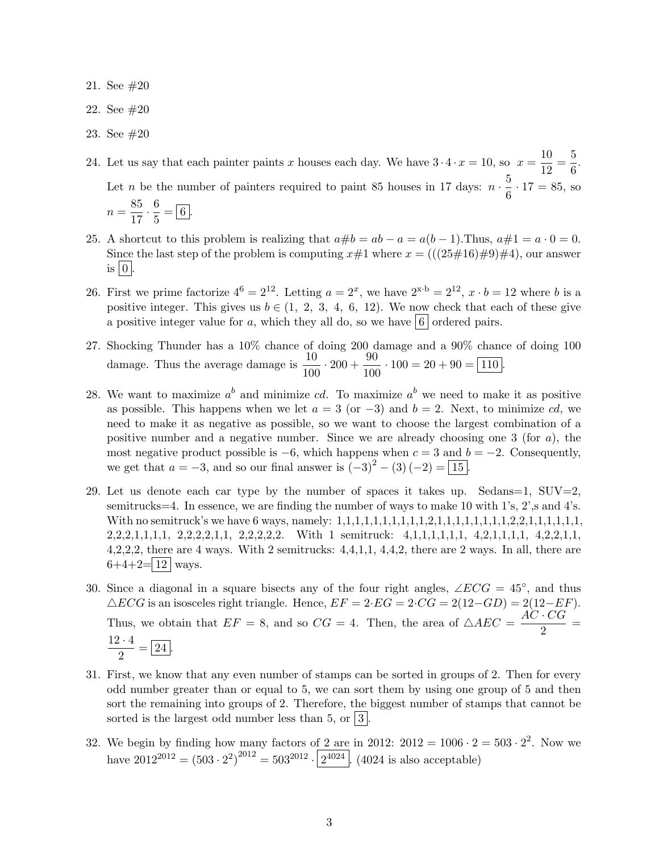- 21. See #20
- 22. See #20
- 23. See #20

24. Let us say that each painter paints x houses each day. We have  $3 \cdot 4 \cdot x = 10$ , so  $x = \frac{10}{12}$  $\frac{10}{12} = \frac{5}{6}$  $\frac{8}{6}$ . Let *n* be the number of painters required to paint 85 houses in 17 days:  $n \cdot \frac{5}{6}$  $\frac{6}{6} \cdot 17 = 85$ , so  $n = \frac{85}{15}$  $\frac{85}{17} \cdot \frac{6}{5}$  $\frac{6}{5} = 6.$ 

- 25. A shortcut to this problem is realizing that  $a\#b = ab a = a(b-1)$ . Thus,  $a\#1 = a \cdot 0 = 0$ . Since the last step of the problem is computing  $x\#1$  where  $x = (((25\#16)\#9)\#4)$ , our answer is  $\vert 0 \vert$ .
- 26. First we prime factorize  $4^6 = 2^{12}$ . Letting  $a = 2^x$ , we have  $2^{x \cdot b} = 2^{12}$ ,  $x \cdot b = 12$  where b is a positive integer. This gives us  $b \in (1, 2, 3, 4, 6, 12)$ . We now check that each of these give a positive integer value for a, which they all do, so we have  $\vert 6 \vert$  ordered pairs.
- 27. Shocking Thunder has a 10% chance of doing 200 damage and a 90% chance of doing 100 damage. Thus the average damage is  $\frac{10}{100} \cdot 200 + \frac{90}{100}$  $\frac{60}{100} \cdot 100 = 20 + 90 = 110.$
- 28. We want to maximize  $a^b$  and minimize cd. To maximize  $a^b$  we need to make it as positive as possible. This happens when we let  $a = 3$  (or  $-3$ ) and  $b = 2$ . Next, to minimize cd, we need to make it as negative as possible, so we want to choose the largest combination of a positive number and a negative number. Since we are already choosing one 3 (for  $a$ ), the most negative product possible is  $-6$ , which happens when  $c = 3$  and  $b = -2$ . Consequently, we get that  $a = -3$ , and so our final answer is  $(-3)^2 - (3)(-2) = 15$ .
- 29. Let us denote each car type by the number of spaces it takes up. Sedans=1,  $\text{SUV}=2$ , semitrucks=4. In essence, we are finding the number of ways to make 10 with 1's, 2',s and 4's. With no semitruck's we have 6 ways, namely: 1,1,1,1,1,1,1,1,1,1,2,1,1,1,1,1,1,1,1,2,2,1,1,1,1,1,1, 2,2,2,1,1,1,1, 2,2,2,2,1,1, 2,2,2,2,2. With 1 semitruck: 4,1,1,1,1,1,1, 4,2,1,1,1,1, 4,2,2,1,1, 4,2,2,2, there are 4 ways. With 2 semitrucks: 4,4,1,1, 4,4,2, there are 2 ways. In all, there are  $6+4+2=$  12 ways.
- 30. Since a diagonal in a square bisects any of the four right angles,  $\angle ECG = 45^{\circ}$ , and thus  $\triangle ECG$  is an isosceles right triangle. Hence,  $EF = 2 \cdot EG = 2 \cdot CG = 2(12-GD) = 2(12-EF)$ . Thus, we obtain that  $EF = 8$ , and so  $CG = 4$ . Then, the area of  $\triangle AEC = \frac{AC \cdot CG}{2}$  $\frac{1}{2}$  =  $12 \cdot 4$  $\frac{1}{2} = 24.$
- 31. First, we know that any even number of stamps can be sorted in groups of 2. Then for every odd number greater than or equal to 5, we can sort them by using one group of 5 and then sort the remaining into groups of 2. Therefore, the biggest number of stamps that cannot be sorted is the largest odd number less than 5, or  $|3|$ .
- 32. We begin by finding how many factors of 2 are in 2012:  $2012 = 1006 \cdot 2 = 503 \cdot 2^2$ . Now we have  $2012^{2012} = (503 \cdot 2^2)^{2012} = 503^{2012} \cdot \sqrt{2^{4024}}$ . (4024 is also acceptable)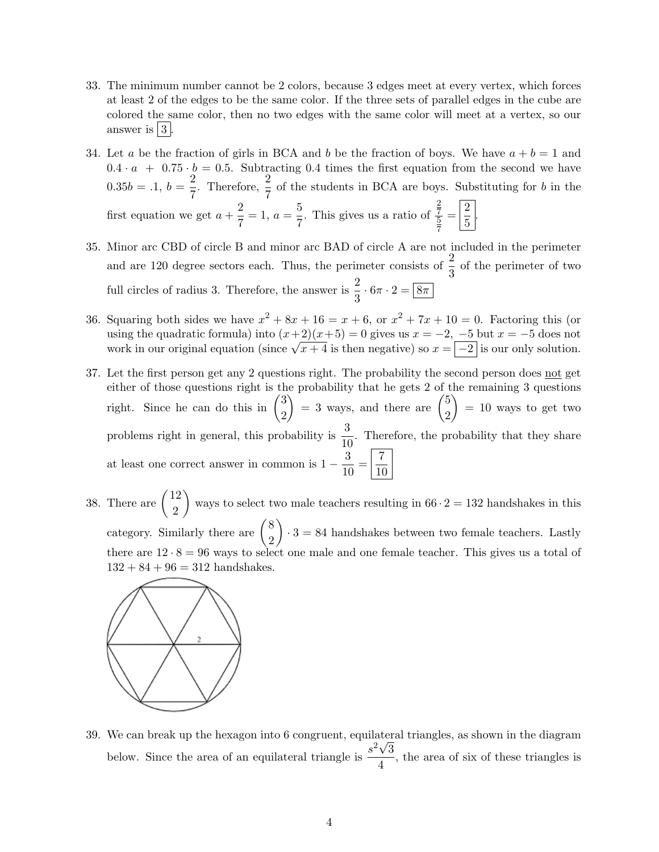- 33. The minimum number cannot be 2 colors, because 3 edges meet at every vertex, which forces at least 2 of the edges to be the same color. If the three sets of parallel edges in the cube are colored the same color, then no two edges with the same color will meet at a vertex, so our answer is  $|3|$ .
- 34. Let a be the fraction of girls in BCA and b be the fraction of boys. We have  $a + b = 1$  and  $0.4 \cdot a + 0.75 \cdot b = 0.5$ . Subtracting 0.4 times the first equation from the second we have  $0.35b = .1, b = \frac{2}{5}$  $\frac{2}{7}$ . Therefore,  $\frac{2}{7}$  of the students in BCA are boys. Substituting for b in the first equation we get  $a + \frac{2}{5}$  $\frac{2}{7} = 1, a = \frac{5}{7}$  $\frac{6}{7}$ . This gives us a ratio of 2 7  $\frac{2}{5} = \frac{2}{5}$  $\frac{2}{5}$

7

- 35. Minor arc CBD of circle B and minor arc BAD of circle A are not included in the perimeter and are 120 degree sectors each. Thus, the perimeter consists of  $\frac{2}{3}$  of the perimeter of two full circles of radius 3. Therefore, the answer is  $\frac{2}{3} \cdot 6\pi \cdot 2 = \boxed{8\pi}$
- 36. Squaring both sides we have  $x^2 + 8x + 16 = x + 6$ , or  $x^2 + 7x + 10 = 0$ . Factoring this (or using the quadratic formula) into  $(x+2)(x+5) = 0$  gives us  $x = -2$ ,  $-5$  but  $x = -5$  does not work in our original equation (since  $\sqrt{x+4}$  is then negative) so  $x = \boxed{-2}$  is our only solution.
- 37. Let the first person get any 2 questions right. The probability the second person does not get either of those questions right is the probability that he gets 2 of the remaining 3 questions right. Since he can do this in  $\binom{3}{5}$ 2  $= 3$  ways, and there are  $\binom{5}{3}$ 2  $= 10$  ways to get two problems right in general, this probability is  $\frac{3}{10}$ . Therefore, the probability that they share at least one correct answer in common is  $1 - \frac{3}{10}$  $\frac{3}{10} = \frac{7}{10}$ 10
- 38. There are  $\begin{pmatrix} 12 \\ 2 \end{pmatrix}$ 2 ways to select two male teachers resulting in  $66 \cdot 2 = 132$  handshakes in this category. Similarly there are  $\binom{8}{8}$ 2  $\bigg\} \cdot 3 = 84$  handshakes between two female teachers. Lastly there are  $12 \cdot 8 = 96$  ways to select one male and one female teacher. This gives us a total of  $132 + 84 + 96 = 312$  handshakes.



39. We can break up the hexagon into 6 congruent, equilateral triangles, as shown in the diagram below. Since the area of an equilateral triangle is  $\frac{s^2\sqrt{3}}{4}$  $\frac{\sqrt{3}}{4}$ , the area of six of these triangles is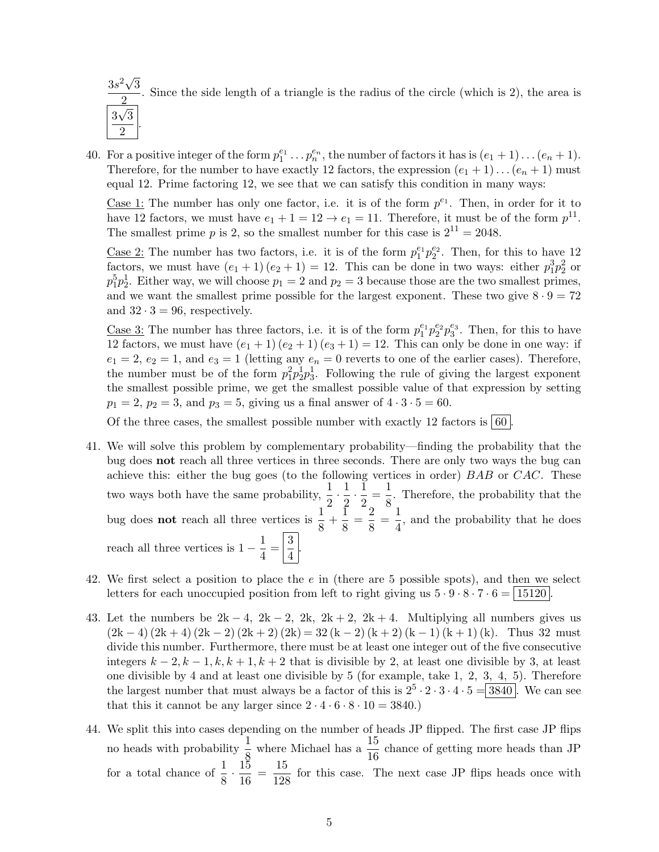

40. For a positive integer of the form  $p_1^{e_1} \tldots p_n^{e_n}$ , the number of factors it has is  $(e_1 + 1) \tldots (e_n + 1)$ . Therefore, for the number to have exactly 12 factors, the expression  $(e_1 + 1) \dots (e_n + 1)$  must equal 12. Prime factoring 12, we see that we can satisfy this condition in many ways:

Case 1: The number has only one factor, i.e. it is of the form  $p^{e_1}$ . Then, in order for it to have 12 factors, we must have  $e_1 + 1 = 12 \rightarrow e_1 = 11$ . Therefore, it must be of the form  $p^{11}$ . The smallest prime p is 2, so the smallest number for this case is  $2^{11} = 2048$ .

<u>Case 2:</u> The number has two factors, i.e. it is of the form  $p_1^{e_1}p_2^{e_2}$ . Then, for this to have 12 factors, we must have  $(e_1 + 1)(e_2 + 1) = 12$ . This can be done in two ways: either  $p_1^3 p_2^2$  or  $p_1^5p_2^1$ . Either way, we will choose  $p_1 = 2$  and  $p_2 = 3$  because those are the two smallest primes, and we want the smallest prime possible for the largest exponent. These two give  $8 \cdot 9 = 72$ and  $32 \cdot 3 = 96$ , respectively.

<u>Case 3:</u> The number has three factors, i.e. it is of the form  $p_1^{e_1}p_2^{e_2}p_3^{e_3}$ . Then, for this to have 12 factors, we must have  $(e_1 + 1)(e_2 + 1)(e_3 + 1) = 12$ . This can only be done in one way: if  $e_1 = 2, e_2 = 1,$  and  $e_3 = 1$  (letting any  $e_n = 0$  reverts to one of the earlier cases). Therefore, the number must be of the form  $p_1^2 p_2^1 p_3^1$ . Following the rule of giving the largest exponent the smallest possible prime, we get the smallest possible value of that expression by setting  $p_1 = 2, p_2 = 3, \text{ and } p_3 = 5, \text{ giving us a final answer of } 4 \cdot 3 \cdot 5 = 60.$ 

Of the three cases, the smallest possible number with exactly 12 factors is  $\vert 60 \vert$ 

- 41. We will solve this problem by complementary probability—finding the probability that the bug does not reach all three vertices in three seconds. There are only two ways the bug can achieve this: either the bug goes (to the following vertices in order) BAB or CAC. These two ways both have the same probability,  $\frac{1}{2} \cdot \frac{1}{2}$  $\frac{1}{2} \cdot \frac{1}{2}$  $\frac{1}{2} = \frac{1}{8}$  $\frac{1}{8}$ . Therefore, the probability that the bug does **not** reach all three vertices is  $\frac{1}{8} + \frac{1}{8}$  $\frac{1}{8} = \frac{2}{8}$  $\frac{2}{8} = \frac{1}{4}$  $\frac{1}{4}$ , and the probability that he does reach all three vertices is  $1 - \frac{1}{4}$  $\frac{1}{4} = \frac{3}{4}$  $\frac{5}{4}$
- 42. We first select a position to place the  $e$  in (there are 5 possible spots), and then we select letters for each unoccupied position from left to right giving us  $5 \cdot 9 \cdot 8 \cdot 7 \cdot 6 = \boxed{15120}$
- 43. Let the numbers be  $2k 4$ ,  $2k 2$ ,  $2k$ ,  $2k + 2$ ,  $2k + 4$ . Multiplying all numbers gives us  $(2k-4)(2k+4)(2k-2)(2k+2)(2k) = 32(k-2)(k+2)(k-1)(k+1)(k)$ . Thus 32 must divide this number. Furthermore, there must be at least one integer out of the five consecutive integers  $k-2$ ,  $k-1$ ,  $k$ ,  $k+1$ ,  $k+2$  that is divisible by 2, at least one divisible by 3, at least one divisible by 4 and at least one divisible by 5 (for example, take 1, 2, 3, 4, 5). Therefore the largest number that must always be a factor of this is  $2^5 \cdot 2 \cdot 3 \cdot 4 \cdot 5 = 3840$ . We can see that this it cannot be any larger since  $2 \cdot 4 \cdot 6 \cdot 8 \cdot 10 = 3840$ .
- 44. We split this into cases depending on the number of heads JP flipped. The first case JP flips no heads with probability  $\frac{1}{8}$  where Michael has a  $\frac{15}{16}$  chance of getting more heads than JP for a total chance of  $\frac{1}{8} \cdot \frac{15}{16}$  $\frac{15}{16} = \frac{15}{128}$  $\frac{10}{128}$  for this case. The next case JP flips heads once with